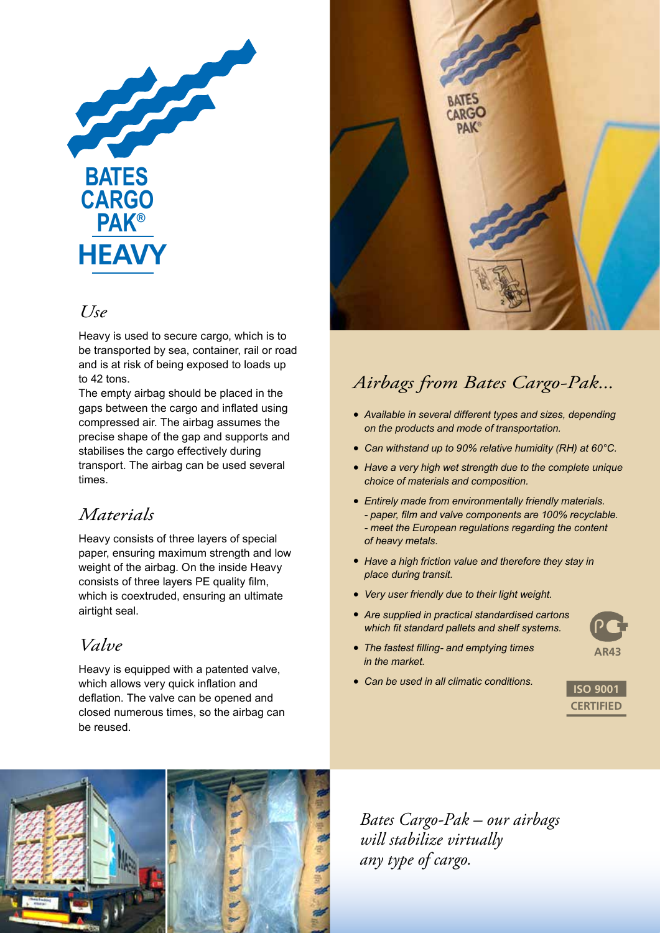

### *Use*

Heavy is used to secure cargo, which is to be transported by sea, container, rail or road and is at risk of being exposed to loads up to 42 tons.

The empty airbag should be placed in the gaps between the cargo and inflated using compressed air. The airbag assumes the precise shape of the gap and supports and stabilises the cargo effectively during transport. The airbag can be used several times.

## *Materials*

Heavy consists of three layers of special paper, ensuring maximum strength and low weight of the airbag. On the inside Heavy consists of three layers PE quality film, which is coextruded, ensuring an ultimate airtight seal.

## *Valve*

Heavy is equipped with a patented valve, which allows very quick inflation and deflation. The valve can be opened and closed numerous times, so the airbag can be reused.



## *Airbags from Bates Cargo-Pak...*

- *Available in several different types and sizes, depending on the products and mode of transportation.*
- *Can withstand up to 90% relative humidity (RH) at 60°C.*
- *Have a very high wet strength due to the complete unique choice of materials and composition.*
- *Entirely made from environmentally friendly materials. - paper, film and valve components are 100% recyclable. - meet the European regulations regarding the content of heavy metals.*
- *Have a high friction value and therefore they stay in place during transit.*
- *Very user friendly due to their light weight.*
- *Are supplied in practical standardised cartons which fit standard pallets and shelf systems.*
- **AR43**
- *• The fastest filling- and emptying times in the market.*
- *Can be used in all climatic conditions.*





*Bates Cargo-Pak – our airbags will stabilize virtually any type of cargo.*